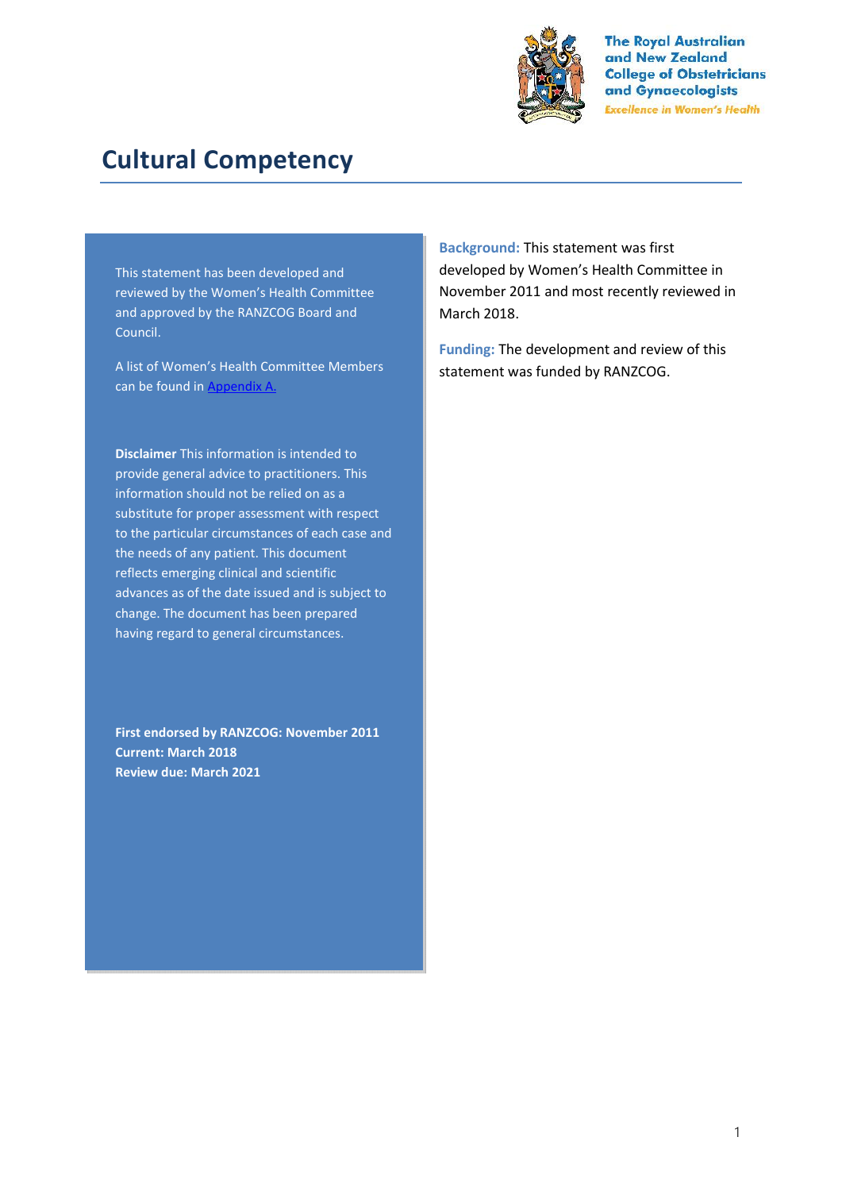

**The Royal Australian** and New Zealand **College of Obstetricians** and Gynaecologists **Excellence in Women's Health** 

# **Cultural Competency**

This statement has been developed and reviewed by the Women's Health Committee and approved by the RANZCOG Board and Council.

A list of Women's Health Committee Members can be found in Appendix A.

**Disclaimer** This information is intended to provide general advice to practitioners. This information should not be relied on as a substitute for proper assessment with respect to the particular circumstances of each case and the needs of any patient. This document reflects emerging clinical and scientific advances as of the date issued and is subject to change. The document has been prepared having regard to general circumstances.

**First endorsed by RANZCOG: November 2011 Current: March 2018 Review due: March 2021**

**Background:** This statement was first developed by Women's Health Committee in November 2011 and most recently reviewed in March 2018.

**Funding:** The development and review of this statement was funded by RANZCOG.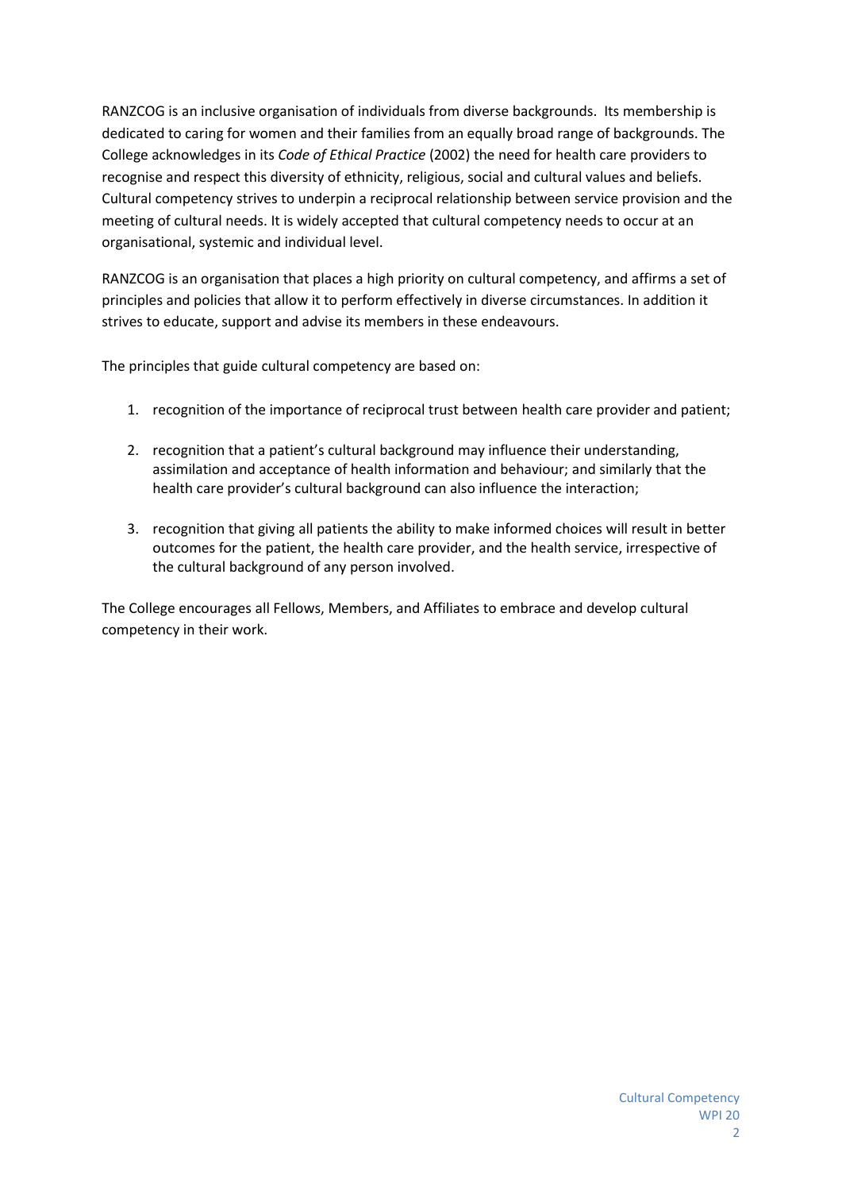RANZCOG is an inclusive organisation of individuals from diverse backgrounds. Its membership is dedicated to caring for women and their families from an equally broad range of backgrounds. The College acknowledges in its *Code of Ethical Practice* (2002) the need for health care providers to recognise and respect this diversity of ethnicity, religious, social and cultural values and beliefs. Cultural competency strives to underpin a reciprocal relationship between service provision and the meeting of cultural needs. It is widely accepted that cultural competency needs to occur at an organisational, systemic and individual level.

RANZCOG is an organisation that places a high priority on cultural competency, and affirms a set of principles and policies that allow it to perform effectively in diverse circumstances. In addition it strives to educate, support and advise its members in these endeavours.

The principles that guide cultural competency are based on:

- 1. recognition of the importance of reciprocal trust between health care provider and patient;
- 2. recognition that a patient's cultural background may influence their understanding, assimilation and acceptance of health information and behaviour; and similarly that the health care provider's cultural background can also influence the interaction;
- 3. recognition that giving all patients the ability to make informed choices will result in better outcomes for the patient, the health care provider, and the health service, irrespective of the cultural background of any person involved.

The College encourages all Fellows, Members, and Affiliates to embrace and develop cultural competency in their work.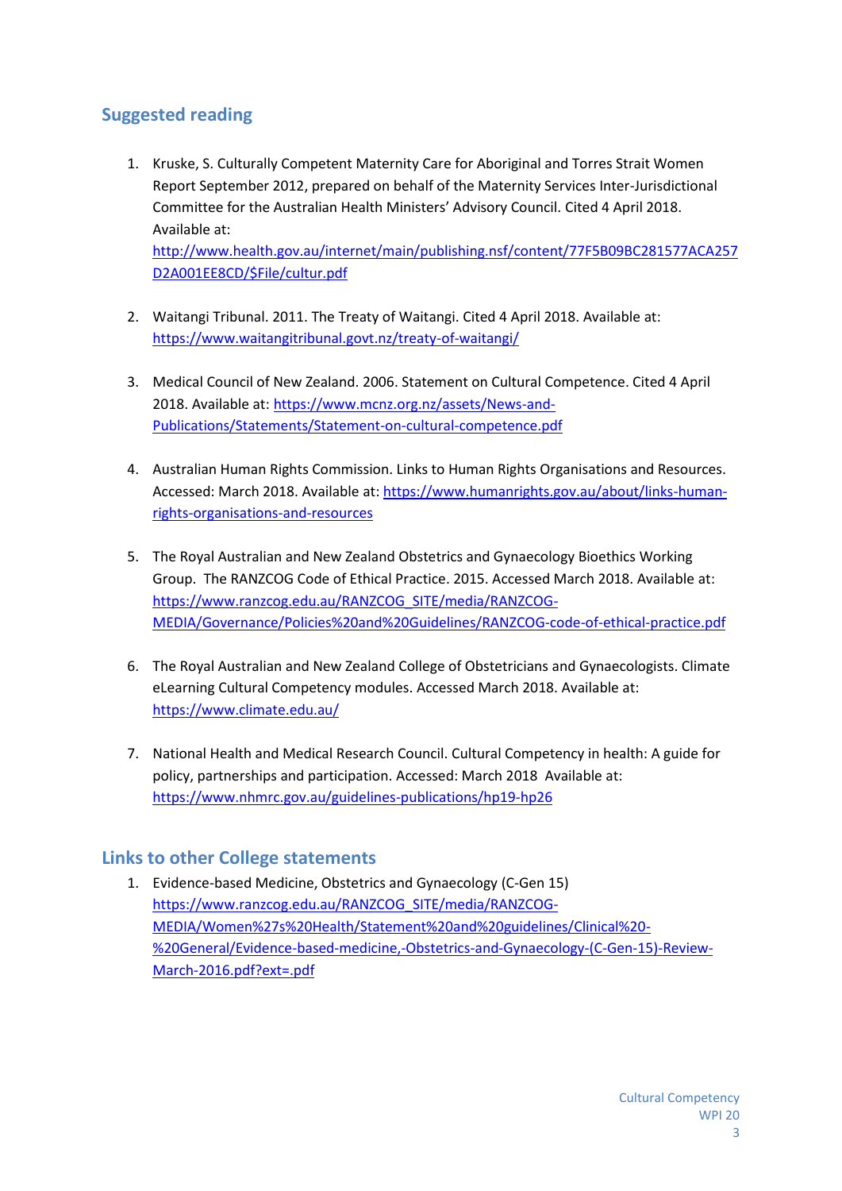## **Suggested reading**

1. Kruske, S. Culturally Competent Maternity Care for Aboriginal and Torres Strait Women Report September 2012, prepared on behalf of the Maternity Services Inter-Jurisdictional Committee for the Australian Health Ministers' Advisory Council. Cited 4 April 2018. Available at:

http://www.health.gov.au/internet/main/publishing.nsf/content/77F5B09BC281577ACA257 D2A001EE8CD/\$File/cultur.pdf

- 2. Waitangi Tribunal. 2011. The Treaty of Waitangi. Cited 4 April 2018. Available at: https://www.waitangitribunal.govt.nz/treaty-of-waitangi/
- 3. Medical Council of New Zealand. 2006. Statement on Cultural Competence. Cited 4 April 2018. Available at: https://www.mcnz.org.nz/assets/News-and- Publications/Statements/Statement-on-cultural-competence.pdf
- 4. Australian Human Rights Commission. Links to Human Rights Organisations and Resources. Accessed: March 2018. Available at: https://www.humanrights.gov.au/about/links-human rights-organisations-and-resources
- 5. The Royal Australian and New Zealand Obstetrics and Gynaecology Bioethics Working Group. The RANZCOG Code of Ethical Practice. 2015. Accessed March 2018. Available at: https://www.ranzcog.edu.au/RANZCOG\_SITE/media/RANZCOG- MEDIA/Governance/Policies%20and%20Guidelines/RANZCOG-code-of-ethical-practice.pdf
- 6. The Royal Australian and New Zealand College of Obstetricians and Gynaecologists. Climate eLearning Cultural Competency modules. Accessed March 2018. Available at: https://www.climate.edu.au/
- 7. National Health and Medical Research Council. Cultural Competency in health: A guide for policy, partnerships and participation. Accessed: March 2018 Available at: https://www.nhmrc.gov.au/guidelines-publications/hp19-hp26

### **Links to other College statements**

1. Evidence-based Medicine, Obstetrics and Gynaecology (C-Gen 15) https://www.ranzcog.edu.au/RANZCOG\_SITE/media/RANZCOG- MEDIA/Women%27s%20Health/Statement%20and%20guidelines/Clinical%20- %20General/Evidence-based-medicine,-Obstetrics-and-Gynaecology-(C-Gen-15)-Review- March-2016.pdf?ext=.pdf